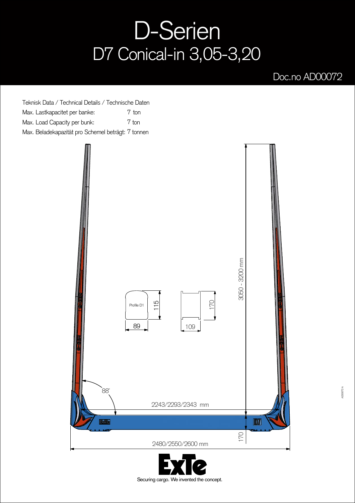## D-Serien D7 Conical-in 3,05-3,20

## Doc.no AD00072

Teknisk Data / Technical Details / Technische Daten Max. Lastkapacitet per banke: Max. Load Capacity per bunk: Max. Beladekapazität pro Schemel beträgt: 7 tonnen 7 ton 7 ton



Securing cargo. We invented the concept.